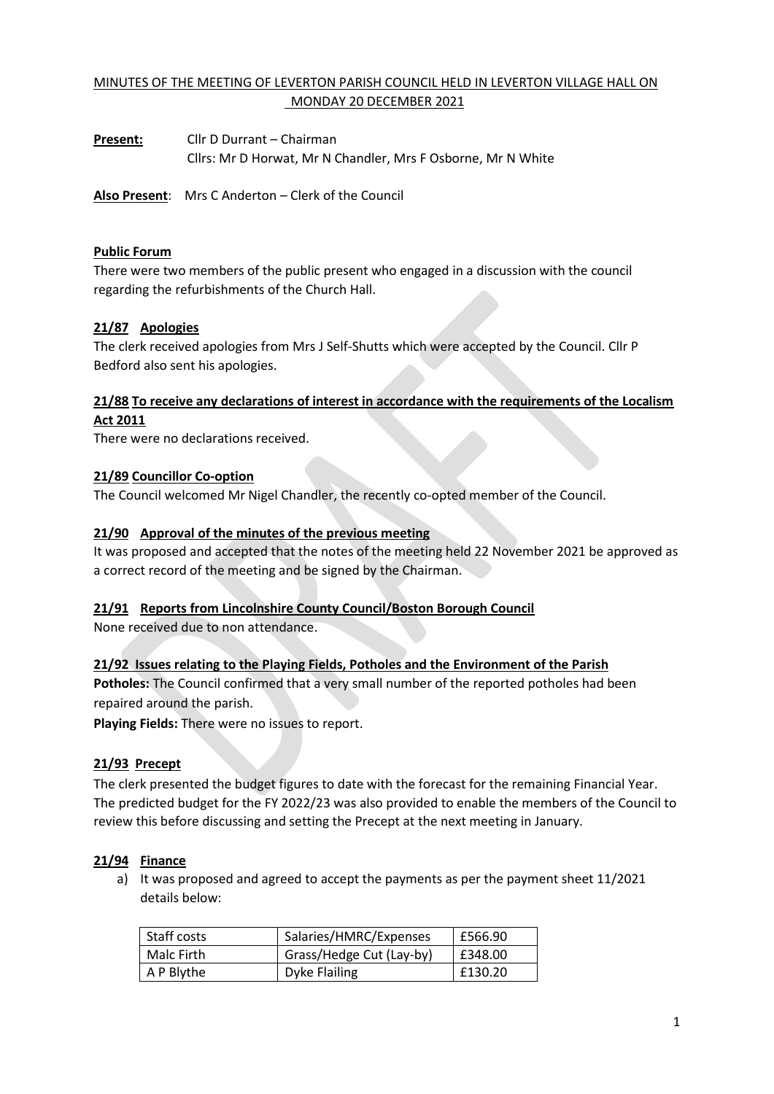# MINUTES OF THE MEETING OF LEVERTON PARISH COUNCIL HELD IN LEVERTON VILLAGE HALL ON MONDAY 20 DECEMBER 2021

**Present:** Cllr D Durrant – Chairman Cllrs: Mr D Horwat, Mr N Chandler, Mrs F Osborne, Mr N White

**Also Present**: Mrs C Anderton – Clerk of the Council

### **Public Forum**

There were two members of the public present who engaged in a discussion with the council regarding the refurbishments of the Church Hall.

### **21/87 Apologies**

The clerk received apologies from Mrs J Self-Shutts which were accepted by the Council. Cllr P Bedford also sent his apologies.

## **21/88 To receive any declarations of interest in accordance with the requirements of the Localism Act 2011**

There were no declarations received.

### **21/89 Councillor Co-option**

The Council welcomed Mr Nigel Chandler, the recently co-opted member of the Council.

### **21/90 Approval of the minutes of the previous meeting**

It was proposed and accepted that the notes of the meeting held 22 November 2021 be approved as a correct record of the meeting and be signed by the Chairman.

#### **21/91 Reports from Lincolnshire County Council/Boston Borough Council**

None received due to non attendance.

### **21/92 Issues relating to the Playing Fields, Potholes and the Environment of the Parish**

**Potholes:** The Council confirmed that a very small number of the reported potholes had been repaired around the parish.

**Playing Fields:** There were no issues to report.

### **21/93 Precept**

The clerk presented the budget figures to date with the forecast for the remaining Financial Year. The predicted budget for the FY 2022/23 was also provided to enable the members of the Council to review this before discussing and setting the Precept at the next meeting in January.

#### **21/94 Finance**

a) It was proposed and agreed to accept the payments as per the payment sheet 11/2021 details below:

| Staff costs | Salaries/HMRC/Expenses   | £566.90 |
|-------------|--------------------------|---------|
| Malc Firth  | Grass/Hedge Cut (Lay-by) | £348.00 |
| A P Blythe  | Dyke Flailing            | £130.20 |